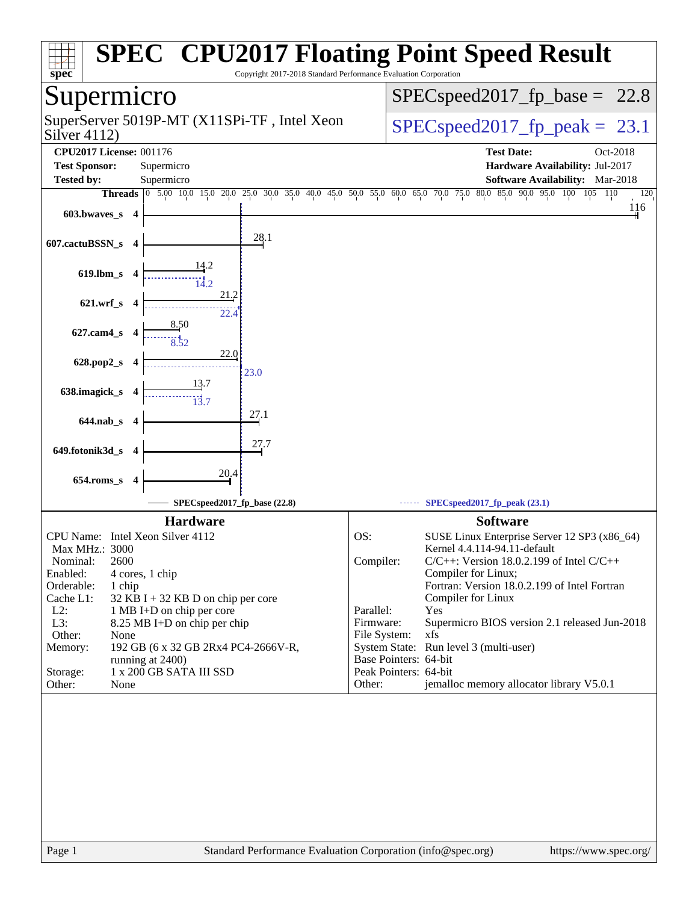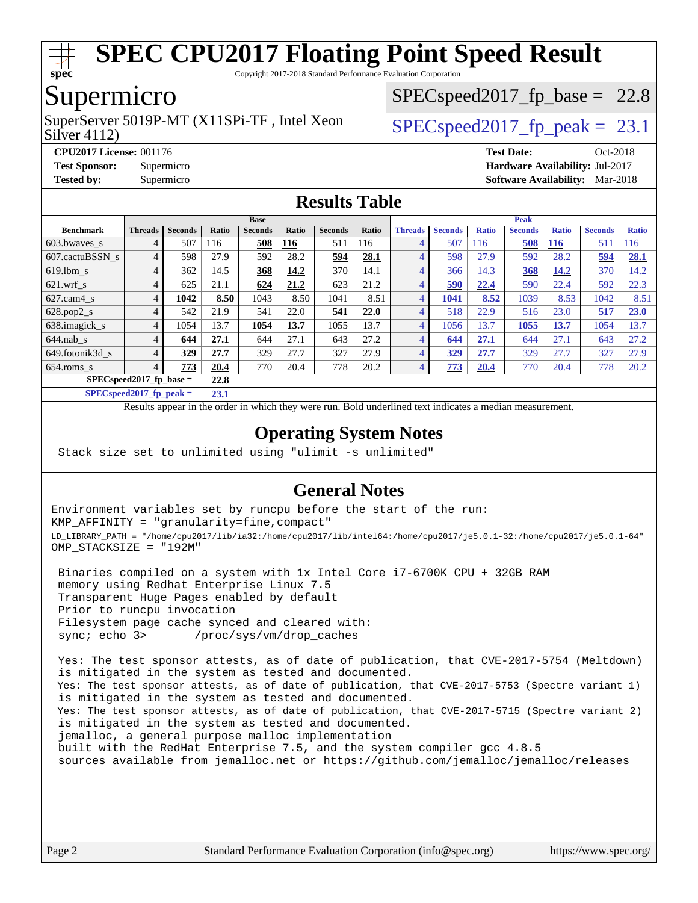

Copyright 2017-2018 Standard Performance Evaluation Corporation

## Supermicro

Silver 4112) SuperServer 5019P-MT (X11SPi-TF, Intel Xeon  $SPIEC speed2017$  fp\_peak = 23.1

 $SPECspeed2017_fp\_base = 22.8$ 

**[CPU2017 License:](http://www.spec.org/auto/cpu2017/Docs/result-fields.html#CPU2017License)** 001176 **[Test Date:](http://www.spec.org/auto/cpu2017/Docs/result-fields.html#TestDate)** Oct-2018 **[Test Sponsor:](http://www.spec.org/auto/cpu2017/Docs/result-fields.html#TestSponsor)** Supermicro **[Hardware Availability:](http://www.spec.org/auto/cpu2017/Docs/result-fields.html#HardwareAvailability)** Jul-2017 **[Tested by:](http://www.spec.org/auto/cpu2017/Docs/result-fields.html#Testedby)** Supermicro **[Software Availability:](http://www.spec.org/auto/cpu2017/Docs/result-fields.html#SoftwareAvailability)** Mar-2018

#### **[Results Table](http://www.spec.org/auto/cpu2017/Docs/result-fields.html#ResultsTable)**

|                            |                       | <b>Base</b>    |       |                |       |                | Peak  |                |                |              |                |              |                |              |
|----------------------------|-----------------------|----------------|-------|----------------|-------|----------------|-------|----------------|----------------|--------------|----------------|--------------|----------------|--------------|
| <b>Benchmark</b>           | <b>Threads</b>        | <b>Seconds</b> | Ratio | <b>Seconds</b> | Ratio | <b>Seconds</b> | Ratio | <b>Threads</b> | <b>Seconds</b> | <b>Ratio</b> | <b>Seconds</b> | <b>Ratio</b> | <b>Seconds</b> | <b>Ratio</b> |
| 603.bwayes s               |                       | 507            | 116   | 508            | 116   | 511            | 116   | $\overline{4}$ | 507            | 116          | 508            | <b>116</b>   | 511            | 116          |
| 607.cactuBSSN s            | 4                     | 598            | 27.9  | 592            | 28.2  | <u>594</u>     | 28.1  | 4              | 598            | 27.9         | 592            | 28.2         | 594            | 28.1         |
| $619.$ lbm s               |                       | 362            | 14.5  | 368            | 14.2  | 370            | 14.1  | $\overline{4}$ | 366            | 14.3         | 368            | 14.2         | 370            | 14.2         |
| $621.wrf$ s                | 4                     | 625            | 21.1  | 624            | 21.2  | 623            | 21.2  | $\overline{4}$ | 590            | 22.4         | 590            | 22.4         | 592            | 22.3         |
| $627$ .cam $4 \text{ s}$   | 4                     | 1042           | 8.50  | 1043           | 8.50  | 1041           | 8.51  | $\overline{4}$ | 1041           | 8.52         | 1039           | 8.53         | 1042           | 8.51         |
| $628.pop2_s$               | 4                     | 542            | 21.9  | 541            | 22.0  | 541            | 22.0  | 4              | 518            | 22.9         | 516            | 23.0         | 517            | 23.0         |
| 638.imagick_s              | 4                     | 1054           | 13.7  | 1054           | 13.7  | 1055           | 13.7  | $\overline{4}$ | 1056           | 13.7         | 1055           | 13.7         | 1054           | 13.7         |
| $644$ .nab s               | 4                     | 644            | 27.1  | 644            | 27.1  | 643            | 27.2  | $\overline{4}$ | 644            | 27.1         | 644            | 27.1         | 643            | 27.2         |
| 649.fotonik3d s            | 4                     | 329            | 27.7  | 329            | 27.7  | 327            | 27.9  | 4              | 329            | 27.7         | 329            | 27.7         | 327            | 27.9         |
| $654$ .roms s              | 4                     | 773            | 20.4  | 770            | 20.4  | 778            | 20.2  | $\overline{4}$ | 773            | 20.4         | 770            | 20.4         | 778            | 20.2         |
| $SPECspeed2017_fp\_base =$ |                       |                | 22.8  |                |       |                |       |                |                |              |                |              |                |              |
| CDF <sub>O</sub>           | <b><i>BAGER B</i></b> | . .            | -- -  |                |       |                |       |                |                |              |                |              |                |              |

**[SPECspeed2017\\_fp\\_peak =](http://www.spec.org/auto/cpu2017/Docs/result-fields.html#SPECspeed2017fppeak) 23.1**

Results appear in the [order in which they were run](http://www.spec.org/auto/cpu2017/Docs/result-fields.html#RunOrder). Bold underlined text [indicates a median measurement](http://www.spec.org/auto/cpu2017/Docs/result-fields.html#Median).

#### **[Operating System Notes](http://www.spec.org/auto/cpu2017/Docs/result-fields.html#OperatingSystemNotes)**

Stack size set to unlimited using "ulimit -s unlimited"

#### **[General Notes](http://www.spec.org/auto/cpu2017/Docs/result-fields.html#GeneralNotes)**

Environment variables set by runcpu before the start of the run: KMP\_AFFINITY = "granularity=fine,compact" LD\_LIBRARY\_PATH = "/home/cpu2017/lib/ia32:/home/cpu2017/lib/intel64:/home/cpu2017/je5.0.1-32:/home/cpu2017/je5.0.1-64" OMP\_STACKSIZE = "192M"

 Binaries compiled on a system with 1x Intel Core i7-6700K CPU + 32GB RAM memory using Redhat Enterprise Linux 7.5 Transparent Huge Pages enabled by default Prior to runcpu invocation Filesystem page cache synced and cleared with: sync; echo 3> /proc/sys/vm/drop\_caches

 Yes: The test sponsor attests, as of date of publication, that CVE-2017-5754 (Meltdown) is mitigated in the system as tested and documented. Yes: The test sponsor attests, as of date of publication, that CVE-2017-5753 (Spectre variant 1) is mitigated in the system as tested and documented. Yes: The test sponsor attests, as of date of publication, that CVE-2017-5715 (Spectre variant 2) is mitigated in the system as tested and documented. jemalloc, a general purpose malloc implementation built with the RedHat Enterprise 7.5, and the system compiler gcc 4.8.5 sources available from jemalloc.net or <https://github.com/jemalloc/jemalloc/releases>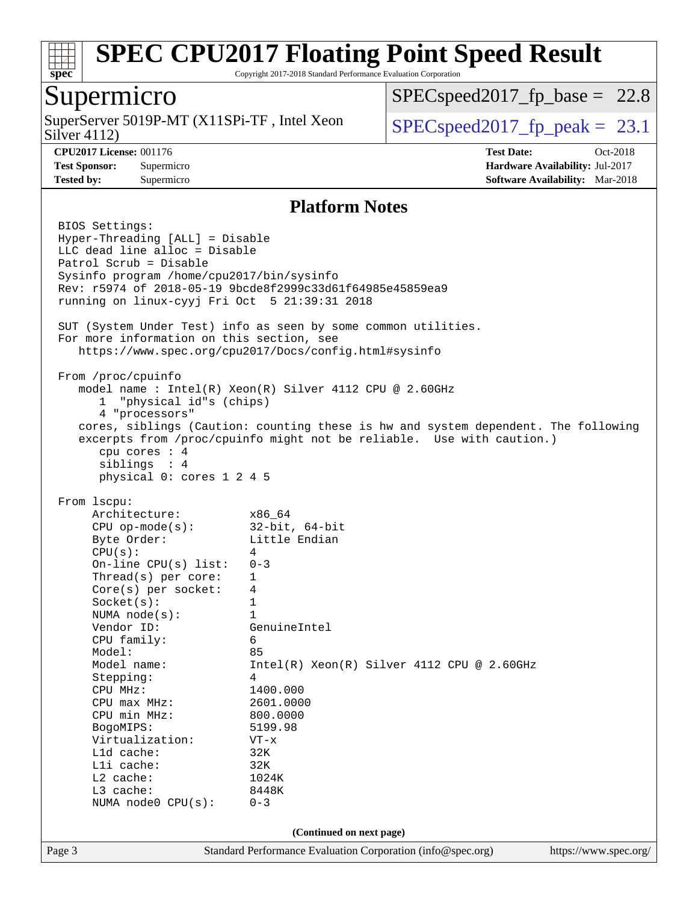

Copyright 2017-2018 Standard Performance Evaluation Corporation

### Supermicro

Silver 4112) SuperServer 5019P-MT  $(X11SPi-TF)$ , Intel Xeon  $\big|$  [SPECspeed2017\\_fp\\_peak =](http://www.spec.org/auto/cpu2017/Docs/result-fields.html#SPECspeed2017fppeak) 23.1

 $SPECspeed2017_fp\_base = 22.8$ 

**[CPU2017 License:](http://www.spec.org/auto/cpu2017/Docs/result-fields.html#CPU2017License)** 001176 **[Test Date:](http://www.spec.org/auto/cpu2017/Docs/result-fields.html#TestDate)** Oct-2018 **[Test Sponsor:](http://www.spec.org/auto/cpu2017/Docs/result-fields.html#TestSponsor)** Supermicro **[Hardware Availability:](http://www.spec.org/auto/cpu2017/Docs/result-fields.html#HardwareAvailability)** Jul-2017 **[Tested by:](http://www.spec.org/auto/cpu2017/Docs/result-fields.html#Testedby)** Supermicro **[Software Availability:](http://www.spec.org/auto/cpu2017/Docs/result-fields.html#SoftwareAvailability)** Mar-2018

#### **[Platform Notes](http://www.spec.org/auto/cpu2017/Docs/result-fields.html#PlatformNotes)**

Page 3 Standard Performance Evaluation Corporation [\(info@spec.org\)](mailto:info@spec.org) <https://www.spec.org/> BIOS Settings: Hyper-Threading [ALL] = Disable LLC dead line alloc = Disable Patrol Scrub = Disable Sysinfo program /home/cpu2017/bin/sysinfo Rev: r5974 of 2018-05-19 9bcde8f2999c33d61f64985e45859ea9 running on linux-cyyj Fri Oct 5 21:39:31 2018 SUT (System Under Test) info as seen by some common utilities. For more information on this section, see <https://www.spec.org/cpu2017/Docs/config.html#sysinfo> From /proc/cpuinfo model name : Intel(R) Xeon(R) Silver 4112 CPU @ 2.60GHz 1 "physical id"s (chips) 4 "processors" cores, siblings (Caution: counting these is hw and system dependent. The following excerpts from /proc/cpuinfo might not be reliable. Use with caution.) cpu cores : 4 siblings : 4 physical 0: cores 1 2 4 5 From lscpu: Architecture: x86\_64 CPU op-mode(s): 32-bit, 64-bit Byte Order: Little Endian  $CPU(s):$  4 On-line CPU(s) list: 0-3 Thread(s) per core: 1 Core(s) per socket: 4 Socket(s): 1 NUMA node(s): 1 Vendor ID: GenuineIntel CPU family: 6 Model: 85 Model name: Intel(R) Xeon(R) Silver 4112 CPU @ 2.60GHz Stepping: 4 CPU MHz: 1400.000 CPU max MHz: 2601.0000 CPU min MHz: 800.0000 BogoMIPS: 5199.98 Virtualization: VT-x L1d cache: 32K L1i cache: 32K L2 cache: 1024K L3 cache: 8448K NUMA node0 CPU(s): 0-3 **(Continued on next page)**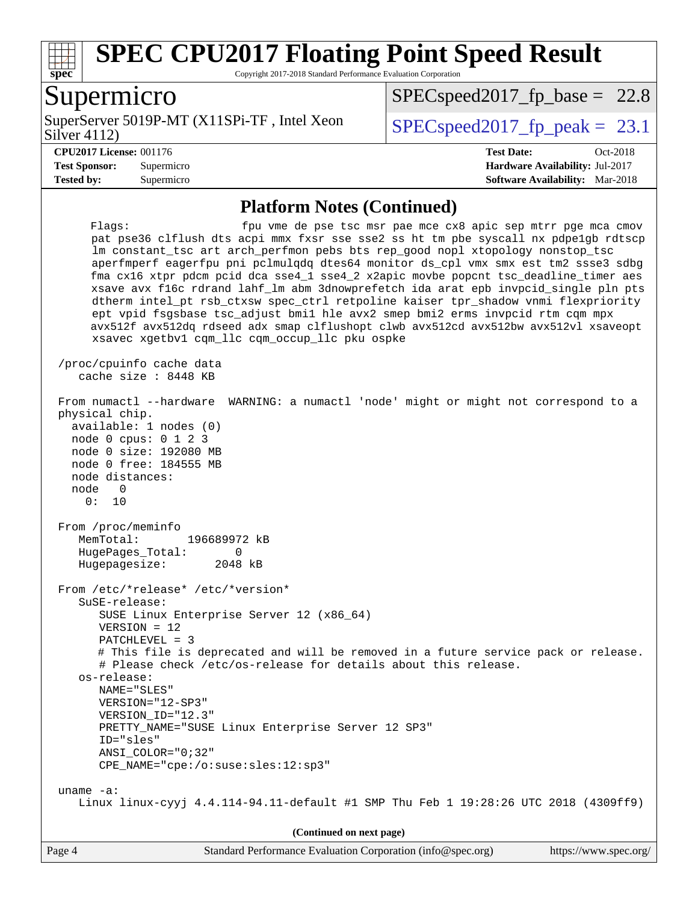

Copyright 2017-2018 Standard Performance Evaluation Corporation

# Supermicro

Silver 4112) SuperServer 5019P-MT (X11SPi-TF, Intel Xeon  $Solve (A112)$ 

[SPECspeed2017\\_fp\\_base =](http://www.spec.org/auto/cpu2017/Docs/result-fields.html#SPECspeed2017fpbase) 22.8

**[Tested by:](http://www.spec.org/auto/cpu2017/Docs/result-fields.html#Testedby)** Supermicro **[Software Availability:](http://www.spec.org/auto/cpu2017/Docs/result-fields.html#SoftwareAvailability)** Mar-2018

**[CPU2017 License:](http://www.spec.org/auto/cpu2017/Docs/result-fields.html#CPU2017License)** 001176 **[Test Date:](http://www.spec.org/auto/cpu2017/Docs/result-fields.html#TestDate)** Oct-2018 **[Test Sponsor:](http://www.spec.org/auto/cpu2017/Docs/result-fields.html#TestSponsor)** Supermicro **[Hardware Availability:](http://www.spec.org/auto/cpu2017/Docs/result-fields.html#HardwareAvailability)** Jul-2017

#### **[Platform Notes \(Continued\)](http://www.spec.org/auto/cpu2017/Docs/result-fields.html#PlatformNotes)**

| fpu vme de pse tsc msr pae mce cx8 apic sep mtrr pge mca cmov<br>Flaqs:<br>pat pse36 clflush dts acpi mmx fxsr sse sse2 ss ht tm pbe syscall nx pdpelgb rdtscp<br>lm constant_tsc art arch_perfmon pebs bts rep_good nopl xtopology nonstop_tsc<br>aperfmperf eagerfpu pni pclmulqdq dtes64 monitor ds_cpl vmx smx est tm2 ssse3 sdbg<br>fma cx16 xtpr pdcm pcid dca sse4_1 sse4_2 x2apic movbe popcnt tsc_deadline_timer aes<br>xsave avx f16c rdrand lahf_lm abm 3dnowprefetch ida arat epb invpcid_single pln pts<br>dtherm intel_pt rsb_ctxsw spec_ctrl retpoline kaiser tpr_shadow vnmi flexpriority<br>ept vpid fsgsbase tsc_adjust bmil hle avx2 smep bmi2 erms invpcid rtm cqm mpx<br>avx512f avx512dq rdseed adx smap clflushopt clwb avx512cd avx512bw avx512vl xsaveopt<br>xsavec xgetbvl cqm_llc cqm_occup_llc pku ospke |
|--------------------------------------------------------------------------------------------------------------------------------------------------------------------------------------------------------------------------------------------------------------------------------------------------------------------------------------------------------------------------------------------------------------------------------------------------------------------------------------------------------------------------------------------------------------------------------------------------------------------------------------------------------------------------------------------------------------------------------------------------------------------------------------------------------------------------------------|
| /proc/cpuinfo cache data<br>cache size : 8448 KB                                                                                                                                                                                                                                                                                                                                                                                                                                                                                                                                                                                                                                                                                                                                                                                     |
| From numactl --hardware<br>WARNING: a numactl 'node' might or might not correspond to a<br>physical chip.<br>available: 1 nodes (0)<br>node 0 cpus: 0 1 2 3<br>node 0 size: 192080 MB<br>node 0 free: 184555 MB<br>node distances:<br>node 0<br>0: 10                                                                                                                                                                                                                                                                                                                                                                                                                                                                                                                                                                                |
| From /proc/meminfo<br>MemTotal:<br>196689972 kB<br>HugePages_Total:<br>0<br>Hugepagesize:<br>2048 kB                                                                                                                                                                                                                                                                                                                                                                                                                                                                                                                                                                                                                                                                                                                                 |
| From /etc/*release* /etc/*version*<br>SuSE-release:<br>SUSE Linux Enterprise Server 12 (x86_64)<br>$VERSION = 12$<br>PATCHLEVEL = 3<br># This file is deprecated and will be removed in a future service pack or release.<br># Please check /etc/os-release for details about this release.<br>os-release:<br>NAME="SLES"<br>VERSION="12-SP3"<br>VERSION ID="12.3"<br>PRETTY_NAME="SUSE Linux Enterprise Server 12 SP3"<br>ID="sles"<br>ANSI COLOR="0;32"<br>$CPE\_NAME='cpe://o:suse: sles:12:sp3"$                                                                                                                                                                                                                                                                                                                                 |
| uname $-a$ :<br>Linux linux-cyyj 4.4.114-94.11-default #1 SMP Thu Feb 1 19:28:26 UTC 2018 (4309ff9)                                                                                                                                                                                                                                                                                                                                                                                                                                                                                                                                                                                                                                                                                                                                  |
| (Continued on next page)                                                                                                                                                                                                                                                                                                                                                                                                                                                                                                                                                                                                                                                                                                                                                                                                             |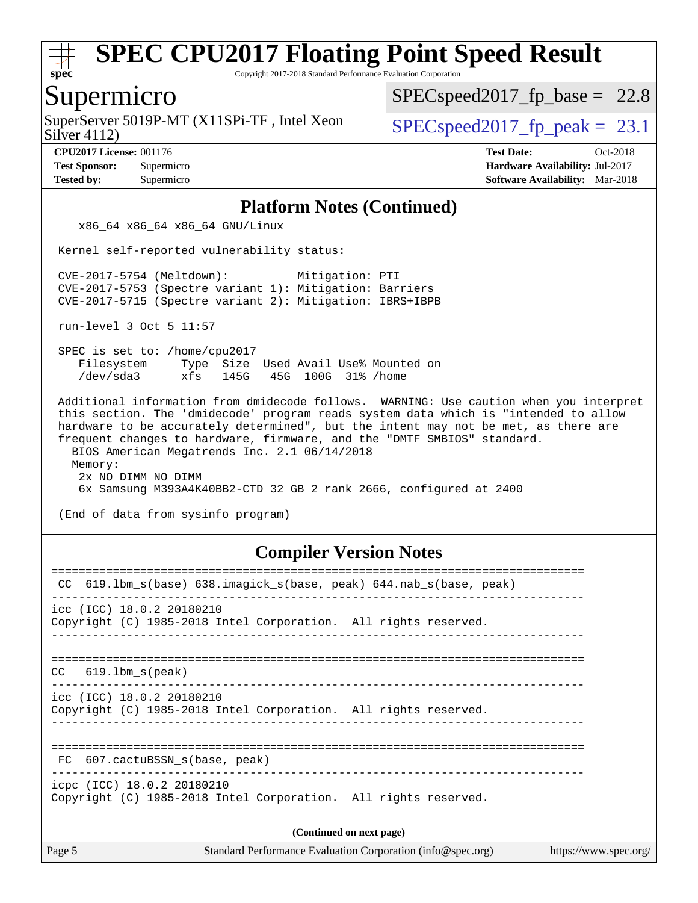

Copyright 2017-2018 Standard Performance Evaluation Corporation

### Supermicro

Silver 4112) SuperServer 5019P-MT  $(X11SPi-TF)$ , Intel Xeon  $\big|$  [SPECspeed2017\\_fp\\_peak =](http://www.spec.org/auto/cpu2017/Docs/result-fields.html#SPECspeed2017fppeak) 23.1

 $SPECspeed2017_fp\_base = 22.8$ 

**[CPU2017 License:](http://www.spec.org/auto/cpu2017/Docs/result-fields.html#CPU2017License)** 001176 **[Test Date:](http://www.spec.org/auto/cpu2017/Docs/result-fields.html#TestDate)** Oct-2018 **[Test Sponsor:](http://www.spec.org/auto/cpu2017/Docs/result-fields.html#TestSponsor)** Supermicro **[Hardware Availability:](http://www.spec.org/auto/cpu2017/Docs/result-fields.html#HardwareAvailability)** Jul-2017 **[Tested by:](http://www.spec.org/auto/cpu2017/Docs/result-fields.html#Testedby)** Supermicro **[Software Availability:](http://www.spec.org/auto/cpu2017/Docs/result-fields.html#SoftwareAvailability)** Mar-2018

#### **[Platform Notes \(Continued\)](http://www.spec.org/auto/cpu2017/Docs/result-fields.html#PlatformNotes)**

x86\_64 x86\_64 x86\_64 GNU/Linux

Kernel self-reported vulnerability status:

 CVE-2017-5754 (Meltdown): Mitigation: PTI CVE-2017-5753 (Spectre variant 1): Mitigation: Barriers CVE-2017-5715 (Spectre variant 2): Mitigation: IBRS+IBPB

run-level 3 Oct 5 11:57

 SPEC is set to: /home/cpu2017 Filesystem Type Size Used Avail Use% Mounted on /dev/sda3 xfs 145G 45G 100G 31% /home

 Additional information from dmidecode follows. WARNING: Use caution when you interpret this section. The 'dmidecode' program reads system data which is "intended to allow hardware to be accurately determined", but the intent may not be met, as there are frequent changes to hardware, firmware, and the "DMTF SMBIOS" standard. BIOS American Megatrends Inc. 2.1 06/14/2018 Memory: 2x NO DIMM NO DIMM 6x Samsung M393A4K40BB2-CTD 32 GB 2 rank 2666, configured at 2400

(End of data from sysinfo program)

#### **[Compiler Version Notes](http://www.spec.org/auto/cpu2017/Docs/result-fields.html#CompilerVersionNotes)**

| 619.1bm_s(base) 638.imagick_s(base, peak) 644.nab_s(base, peak)<br>CC.                        |
|-----------------------------------------------------------------------------------------------|
| icc (ICC) 18.0.2 20180210<br>Copyright (C) 1985-2018 Intel Corporation. All rights reserved.  |
| 619.lbm s(peak)<br>CC.                                                                        |
| icc (ICC) 18.0.2 20180210<br>Copyright (C) 1985-2018 Intel Corporation. All rights reserved.  |
| FC 607.cactuBSSN s(base, peak)                                                                |
| icpc (ICC) 18.0.2 20180210<br>Copyright (C) 1985-2018 Intel Corporation. All rights reserved. |
| (Continued on next page)                                                                      |
|                                                                                               |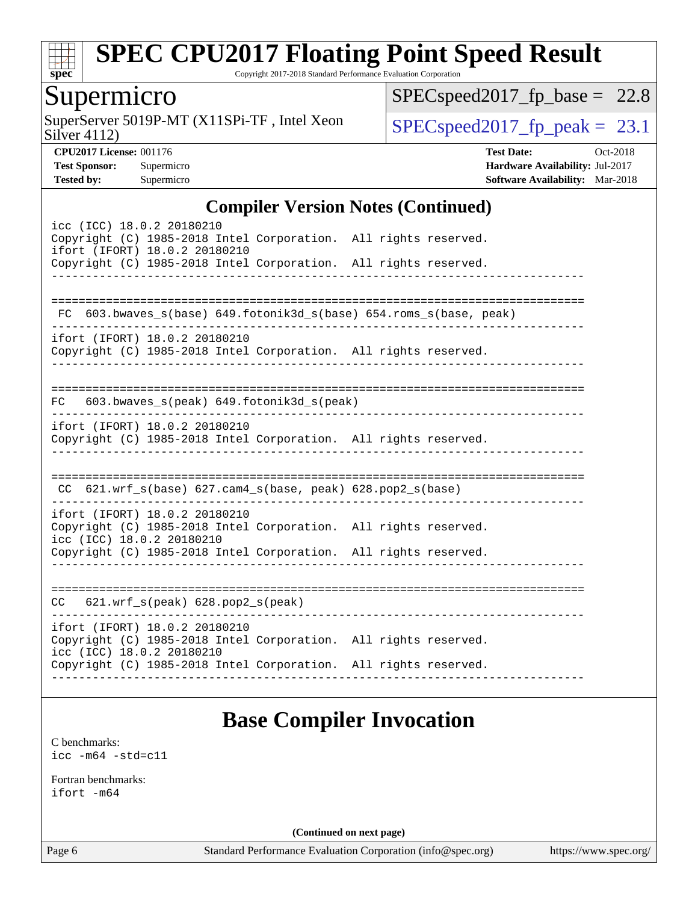

Copyright 2017-2018 Standard Performance Evaluation Corporation

## Supermicro

Silver 4112) SuperServer 5019P-MT (X11SPi-TF, Intel Xeon  $SPIEC speed2017_fp\_peak = 23.1$ 

 $SPEC speed2017_fp\_base = 22.8$ 

**[CPU2017 License:](http://www.spec.org/auto/cpu2017/Docs/result-fields.html#CPU2017License)** 001176 **[Test Date:](http://www.spec.org/auto/cpu2017/Docs/result-fields.html#TestDate)** Oct-2018 **[Test Sponsor:](http://www.spec.org/auto/cpu2017/Docs/result-fields.html#TestSponsor)** Supermicro **[Hardware Availability:](http://www.spec.org/auto/cpu2017/Docs/result-fields.html#HardwareAvailability)** Jul-2017 **[Tested by:](http://www.spec.org/auto/cpu2017/Docs/result-fields.html#Testedby)** Supermicro **[Software Availability:](http://www.spec.org/auto/cpu2017/Docs/result-fields.html#SoftwareAvailability)** Mar-2018

#### **[Compiler Version Notes \(Continued\)](http://www.spec.org/auto/cpu2017/Docs/result-fields.html#CompilerVersionNotes)**

| icc (ICC) 18.0.2 20180210<br>Copyright (C) 1985-2018 Intel Corporation. All rights reserved.<br>ifort (IFORT) 18.0.2 20180210 |  |
|-------------------------------------------------------------------------------------------------------------------------------|--|
| Copyright (C) 1985-2018 Intel Corporation. All rights reserved.                                                               |  |
|                                                                                                                               |  |
| 603.bwaves_s(base) 649.fotonik3d_s(base) 654.roms_s(base, peak)<br>FC.                                                        |  |
| ifort (IFORT) 18.0.2 20180210<br>Copyright (C) 1985-2018 Intel Corporation. All rights reserved.                              |  |
| FC 603.bwaves_s(peak) 649.fotonik3d_s(peak)                                                                                   |  |
| ifort (IFORT) 18.0.2 20180210<br>Copyright (C) 1985-2018 Intel Corporation. All rights reserved.                              |  |
| CC 621.wrf_s(base) 627.cam4_s(base, peak) 628.pop2_s(base)                                                                    |  |
| ifort (IFORT) 18.0.2 20180210<br>Copyright (C) 1985-2018 Intel Corporation. All rights reserved.<br>icc (ICC) 18.0.2 20180210 |  |
| Copyright (C) 1985-2018 Intel Corporation. All rights reserved.                                                               |  |
| $CC$ 621.wrf_s(peak) 628.pop2_s(peak)                                                                                         |  |
| ifort (IFORT) 18.0.2 20180210<br>Copyright (C) 1985-2018 Intel Corporation. All rights reserved.<br>icc (ICC) 18.0.2 20180210 |  |
| Copyright (C) 1985-2018 Intel Corporation. All rights reserved.                                                               |  |
|                                                                                                                               |  |

## **[Base Compiler Invocation](http://www.spec.org/auto/cpu2017/Docs/result-fields.html#BaseCompilerInvocation)**

[C benchmarks](http://www.spec.org/auto/cpu2017/Docs/result-fields.html#Cbenchmarks): [icc -m64 -std=c11](http://www.spec.org/cpu2017/results/res2018q4/cpu2017-20181015-09209.flags.html#user_CCbase_intel_icc_64bit_c11_33ee0cdaae7deeeab2a9725423ba97205ce30f63b9926c2519791662299b76a0318f32ddfffdc46587804de3178b4f9328c46fa7c2b0cd779d7a61945c91cd35)

[Fortran benchmarks](http://www.spec.org/auto/cpu2017/Docs/result-fields.html#Fortranbenchmarks): [ifort -m64](http://www.spec.org/cpu2017/results/res2018q4/cpu2017-20181015-09209.flags.html#user_FCbase_intel_ifort_64bit_24f2bb282fbaeffd6157abe4f878425411749daecae9a33200eee2bee2fe76f3b89351d69a8130dd5949958ce389cf37ff59a95e7a40d588e8d3a57e0c3fd751)

**(Continued on next page)**

Page 6 Standard Performance Evaluation Corporation [\(info@spec.org\)](mailto:info@spec.org) <https://www.spec.org/>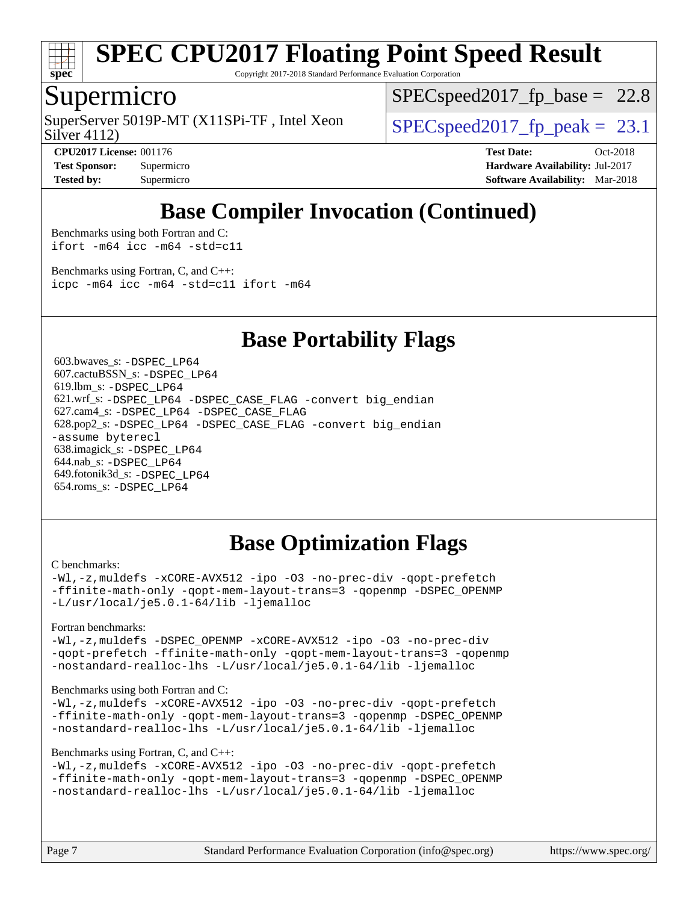

Copyright 2017-2018 Standard Performance Evaluation Corporation

### Supermicro

Silver 4112) SuperServer 5019P-MT  $(X11SPi-TF)$ , Intel Xeon  $SPECspeed2017_fp\_peak = 23.1$ 

 $SPECspeed2017_fp\_base = 22.8$ 

**[Tested by:](http://www.spec.org/auto/cpu2017/Docs/result-fields.html#Testedby)** Supermicro **[Software Availability:](http://www.spec.org/auto/cpu2017/Docs/result-fields.html#SoftwareAvailability)** Mar-2018

**[CPU2017 License:](http://www.spec.org/auto/cpu2017/Docs/result-fields.html#CPU2017License)** 001176 **[Test Date:](http://www.spec.org/auto/cpu2017/Docs/result-fields.html#TestDate)** Oct-2018 **[Test Sponsor:](http://www.spec.org/auto/cpu2017/Docs/result-fields.html#TestSponsor)** Supermicro **[Hardware Availability:](http://www.spec.org/auto/cpu2017/Docs/result-fields.html#HardwareAvailability)** Jul-2017

# **[Base Compiler Invocation \(Continued\)](http://www.spec.org/auto/cpu2017/Docs/result-fields.html#BaseCompilerInvocation)**

[Benchmarks using both Fortran and C](http://www.spec.org/auto/cpu2017/Docs/result-fields.html#BenchmarksusingbothFortranandC): [ifort -m64](http://www.spec.org/cpu2017/results/res2018q4/cpu2017-20181015-09209.flags.html#user_CC_FCbase_intel_ifort_64bit_24f2bb282fbaeffd6157abe4f878425411749daecae9a33200eee2bee2fe76f3b89351d69a8130dd5949958ce389cf37ff59a95e7a40d588e8d3a57e0c3fd751) [icc -m64 -std=c11](http://www.spec.org/cpu2017/results/res2018q4/cpu2017-20181015-09209.flags.html#user_CC_FCbase_intel_icc_64bit_c11_33ee0cdaae7deeeab2a9725423ba97205ce30f63b9926c2519791662299b76a0318f32ddfffdc46587804de3178b4f9328c46fa7c2b0cd779d7a61945c91cd35)

[Benchmarks using Fortran, C, and C++:](http://www.spec.org/auto/cpu2017/Docs/result-fields.html#BenchmarksusingFortranCandCXX) [icpc -m64](http://www.spec.org/cpu2017/results/res2018q4/cpu2017-20181015-09209.flags.html#user_CC_CXX_FCbase_intel_icpc_64bit_4ecb2543ae3f1412ef961e0650ca070fec7b7afdcd6ed48761b84423119d1bf6bdf5cad15b44d48e7256388bc77273b966e5eb805aefd121eb22e9299b2ec9d9) [icc -m64 -std=c11](http://www.spec.org/cpu2017/results/res2018q4/cpu2017-20181015-09209.flags.html#user_CC_CXX_FCbase_intel_icc_64bit_c11_33ee0cdaae7deeeab2a9725423ba97205ce30f63b9926c2519791662299b76a0318f32ddfffdc46587804de3178b4f9328c46fa7c2b0cd779d7a61945c91cd35) [ifort -m64](http://www.spec.org/cpu2017/results/res2018q4/cpu2017-20181015-09209.flags.html#user_CC_CXX_FCbase_intel_ifort_64bit_24f2bb282fbaeffd6157abe4f878425411749daecae9a33200eee2bee2fe76f3b89351d69a8130dd5949958ce389cf37ff59a95e7a40d588e8d3a57e0c3fd751)

### **[Base Portability Flags](http://www.spec.org/auto/cpu2017/Docs/result-fields.html#BasePortabilityFlags)**

 603.bwaves\_s: [-DSPEC\\_LP64](http://www.spec.org/cpu2017/results/res2018q4/cpu2017-20181015-09209.flags.html#suite_basePORTABILITY603_bwaves_s_DSPEC_LP64) 607.cactuBSSN\_s: [-DSPEC\\_LP64](http://www.spec.org/cpu2017/results/res2018q4/cpu2017-20181015-09209.flags.html#suite_basePORTABILITY607_cactuBSSN_s_DSPEC_LP64) 619.lbm\_s: [-DSPEC\\_LP64](http://www.spec.org/cpu2017/results/res2018q4/cpu2017-20181015-09209.flags.html#suite_basePORTABILITY619_lbm_s_DSPEC_LP64) 621.wrf\_s: [-DSPEC\\_LP64](http://www.spec.org/cpu2017/results/res2018q4/cpu2017-20181015-09209.flags.html#suite_basePORTABILITY621_wrf_s_DSPEC_LP64) [-DSPEC\\_CASE\\_FLAG](http://www.spec.org/cpu2017/results/res2018q4/cpu2017-20181015-09209.flags.html#b621.wrf_s_baseCPORTABILITY_DSPEC_CASE_FLAG) [-convert big\\_endian](http://www.spec.org/cpu2017/results/res2018q4/cpu2017-20181015-09209.flags.html#user_baseFPORTABILITY621_wrf_s_convert_big_endian_c3194028bc08c63ac5d04de18c48ce6d347e4e562e8892b8bdbdc0214820426deb8554edfa529a3fb25a586e65a3d812c835984020483e7e73212c4d31a38223) 627.cam4\_s: [-DSPEC\\_LP64](http://www.spec.org/cpu2017/results/res2018q4/cpu2017-20181015-09209.flags.html#suite_basePORTABILITY627_cam4_s_DSPEC_LP64) [-DSPEC\\_CASE\\_FLAG](http://www.spec.org/cpu2017/results/res2018q4/cpu2017-20181015-09209.flags.html#b627.cam4_s_baseCPORTABILITY_DSPEC_CASE_FLAG) 628.pop2\_s: [-DSPEC\\_LP64](http://www.spec.org/cpu2017/results/res2018q4/cpu2017-20181015-09209.flags.html#suite_basePORTABILITY628_pop2_s_DSPEC_LP64) [-DSPEC\\_CASE\\_FLAG](http://www.spec.org/cpu2017/results/res2018q4/cpu2017-20181015-09209.flags.html#b628.pop2_s_baseCPORTABILITY_DSPEC_CASE_FLAG) [-convert big\\_endian](http://www.spec.org/cpu2017/results/res2018q4/cpu2017-20181015-09209.flags.html#user_baseFPORTABILITY628_pop2_s_convert_big_endian_c3194028bc08c63ac5d04de18c48ce6d347e4e562e8892b8bdbdc0214820426deb8554edfa529a3fb25a586e65a3d812c835984020483e7e73212c4d31a38223) [-assume byterecl](http://www.spec.org/cpu2017/results/res2018q4/cpu2017-20181015-09209.flags.html#user_baseFPORTABILITY628_pop2_s_assume_byterecl_7e47d18b9513cf18525430bbf0f2177aa9bf368bc7a059c09b2c06a34b53bd3447c950d3f8d6c70e3faf3a05c8557d66a5798b567902e8849adc142926523472) 638.imagick\_s: [-DSPEC\\_LP64](http://www.spec.org/cpu2017/results/res2018q4/cpu2017-20181015-09209.flags.html#suite_basePORTABILITY638_imagick_s_DSPEC_LP64) 644.nab\_s: [-DSPEC\\_LP64](http://www.spec.org/cpu2017/results/res2018q4/cpu2017-20181015-09209.flags.html#suite_basePORTABILITY644_nab_s_DSPEC_LP64) 649.fotonik3d\_s: [-DSPEC\\_LP64](http://www.spec.org/cpu2017/results/res2018q4/cpu2017-20181015-09209.flags.html#suite_basePORTABILITY649_fotonik3d_s_DSPEC_LP64) 654.roms\_s: [-DSPEC\\_LP64](http://www.spec.org/cpu2017/results/res2018q4/cpu2017-20181015-09209.flags.html#suite_basePORTABILITY654_roms_s_DSPEC_LP64)

# **[Base Optimization Flags](http://www.spec.org/auto/cpu2017/Docs/result-fields.html#BaseOptimizationFlags)**

#### [C benchmarks](http://www.spec.org/auto/cpu2017/Docs/result-fields.html#Cbenchmarks):

[-Wl,-z,muldefs](http://www.spec.org/cpu2017/results/res2018q4/cpu2017-20181015-09209.flags.html#user_CCbase_link_force_multiple1_b4cbdb97b34bdee9ceefcfe54f4c8ea74255f0b02a4b23e853cdb0e18eb4525ac79b5a88067c842dd0ee6996c24547a27a4b99331201badda8798ef8a743f577) [-xCORE-AVX512](http://www.spec.org/cpu2017/results/res2018q4/cpu2017-20181015-09209.flags.html#user_CCbase_f-xCORE-AVX512) [-ipo](http://www.spec.org/cpu2017/results/res2018q4/cpu2017-20181015-09209.flags.html#user_CCbase_f-ipo) [-O3](http://www.spec.org/cpu2017/results/res2018q4/cpu2017-20181015-09209.flags.html#user_CCbase_f-O3) [-no-prec-div](http://www.spec.org/cpu2017/results/res2018q4/cpu2017-20181015-09209.flags.html#user_CCbase_f-no-prec-div) [-qopt-prefetch](http://www.spec.org/cpu2017/results/res2018q4/cpu2017-20181015-09209.flags.html#user_CCbase_f-qopt-prefetch) [-ffinite-math-only](http://www.spec.org/cpu2017/results/res2018q4/cpu2017-20181015-09209.flags.html#user_CCbase_f_finite_math_only_cb91587bd2077682c4b38af759c288ed7c732db004271a9512da14a4f8007909a5f1427ecbf1a0fb78ff2a814402c6114ac565ca162485bbcae155b5e4258871) [-qopt-mem-layout-trans=3](http://www.spec.org/cpu2017/results/res2018q4/cpu2017-20181015-09209.flags.html#user_CCbase_f-qopt-mem-layout-trans_de80db37974c74b1f0e20d883f0b675c88c3b01e9d123adea9b28688d64333345fb62bc4a798493513fdb68f60282f9a726aa07f478b2f7113531aecce732043) [-qopenmp](http://www.spec.org/cpu2017/results/res2018q4/cpu2017-20181015-09209.flags.html#user_CCbase_qopenmp_16be0c44f24f464004c6784a7acb94aca937f053568ce72f94b139a11c7c168634a55f6653758ddd83bcf7b8463e8028bb0b48b77bcddc6b78d5d95bb1df2967) [-DSPEC\\_OPENMP](http://www.spec.org/cpu2017/results/res2018q4/cpu2017-20181015-09209.flags.html#suite_CCbase_DSPEC_OPENMP) [-L/usr/local/je5.0.1-64/lib](http://www.spec.org/cpu2017/results/res2018q4/cpu2017-20181015-09209.flags.html#user_CCbase_jemalloc_link_path64_4b10a636b7bce113509b17f3bd0d6226c5fb2346b9178c2d0232c14f04ab830f976640479e5c33dc2bcbbdad86ecfb6634cbbd4418746f06f368b512fced5394) [-ljemalloc](http://www.spec.org/cpu2017/results/res2018q4/cpu2017-20181015-09209.flags.html#user_CCbase_jemalloc_link_lib_d1249b907c500fa1c0672f44f562e3d0f79738ae9e3c4a9c376d49f265a04b9c99b167ecedbf6711b3085be911c67ff61f150a17b3472be731631ba4d0471706)

[Fortran benchmarks](http://www.spec.org/auto/cpu2017/Docs/result-fields.html#Fortranbenchmarks):

[-Wl,-z,muldefs](http://www.spec.org/cpu2017/results/res2018q4/cpu2017-20181015-09209.flags.html#user_FCbase_link_force_multiple1_b4cbdb97b34bdee9ceefcfe54f4c8ea74255f0b02a4b23e853cdb0e18eb4525ac79b5a88067c842dd0ee6996c24547a27a4b99331201badda8798ef8a743f577) [-DSPEC\\_OPENMP](http://www.spec.org/cpu2017/results/res2018q4/cpu2017-20181015-09209.flags.html#suite_FCbase_DSPEC_OPENMP) [-xCORE-AVX512](http://www.spec.org/cpu2017/results/res2018q4/cpu2017-20181015-09209.flags.html#user_FCbase_f-xCORE-AVX512) [-ipo](http://www.spec.org/cpu2017/results/res2018q4/cpu2017-20181015-09209.flags.html#user_FCbase_f-ipo) [-O3](http://www.spec.org/cpu2017/results/res2018q4/cpu2017-20181015-09209.flags.html#user_FCbase_f-O3) [-no-prec-div](http://www.spec.org/cpu2017/results/res2018q4/cpu2017-20181015-09209.flags.html#user_FCbase_f-no-prec-div) [-qopt-prefetch](http://www.spec.org/cpu2017/results/res2018q4/cpu2017-20181015-09209.flags.html#user_FCbase_f-qopt-prefetch) [-ffinite-math-only](http://www.spec.org/cpu2017/results/res2018q4/cpu2017-20181015-09209.flags.html#user_FCbase_f_finite_math_only_cb91587bd2077682c4b38af759c288ed7c732db004271a9512da14a4f8007909a5f1427ecbf1a0fb78ff2a814402c6114ac565ca162485bbcae155b5e4258871) [-qopt-mem-layout-trans=3](http://www.spec.org/cpu2017/results/res2018q4/cpu2017-20181015-09209.flags.html#user_FCbase_f-qopt-mem-layout-trans_de80db37974c74b1f0e20d883f0b675c88c3b01e9d123adea9b28688d64333345fb62bc4a798493513fdb68f60282f9a726aa07f478b2f7113531aecce732043) [-qopenmp](http://www.spec.org/cpu2017/results/res2018q4/cpu2017-20181015-09209.flags.html#user_FCbase_qopenmp_16be0c44f24f464004c6784a7acb94aca937f053568ce72f94b139a11c7c168634a55f6653758ddd83bcf7b8463e8028bb0b48b77bcddc6b78d5d95bb1df2967) [-nostandard-realloc-lhs](http://www.spec.org/cpu2017/results/res2018q4/cpu2017-20181015-09209.flags.html#user_FCbase_f_2003_std_realloc_82b4557e90729c0f113870c07e44d33d6f5a304b4f63d4c15d2d0f1fab99f5daaed73bdb9275d9ae411527f28b936061aa8b9c8f2d63842963b95c9dd6426b8a) [-L/usr/local/je5.0.1-64/lib](http://www.spec.org/cpu2017/results/res2018q4/cpu2017-20181015-09209.flags.html#user_FCbase_jemalloc_link_path64_4b10a636b7bce113509b17f3bd0d6226c5fb2346b9178c2d0232c14f04ab830f976640479e5c33dc2bcbbdad86ecfb6634cbbd4418746f06f368b512fced5394) [-ljemalloc](http://www.spec.org/cpu2017/results/res2018q4/cpu2017-20181015-09209.flags.html#user_FCbase_jemalloc_link_lib_d1249b907c500fa1c0672f44f562e3d0f79738ae9e3c4a9c376d49f265a04b9c99b167ecedbf6711b3085be911c67ff61f150a17b3472be731631ba4d0471706)

#### [Benchmarks using both Fortran and C](http://www.spec.org/auto/cpu2017/Docs/result-fields.html#BenchmarksusingbothFortranandC):

[-Wl,-z,muldefs](http://www.spec.org/cpu2017/results/res2018q4/cpu2017-20181015-09209.flags.html#user_CC_FCbase_link_force_multiple1_b4cbdb97b34bdee9ceefcfe54f4c8ea74255f0b02a4b23e853cdb0e18eb4525ac79b5a88067c842dd0ee6996c24547a27a4b99331201badda8798ef8a743f577) [-xCORE-AVX512](http://www.spec.org/cpu2017/results/res2018q4/cpu2017-20181015-09209.flags.html#user_CC_FCbase_f-xCORE-AVX512) [-ipo](http://www.spec.org/cpu2017/results/res2018q4/cpu2017-20181015-09209.flags.html#user_CC_FCbase_f-ipo) [-O3](http://www.spec.org/cpu2017/results/res2018q4/cpu2017-20181015-09209.flags.html#user_CC_FCbase_f-O3) [-no-prec-div](http://www.spec.org/cpu2017/results/res2018q4/cpu2017-20181015-09209.flags.html#user_CC_FCbase_f-no-prec-div) [-qopt-prefetch](http://www.spec.org/cpu2017/results/res2018q4/cpu2017-20181015-09209.flags.html#user_CC_FCbase_f-qopt-prefetch) [-ffinite-math-only](http://www.spec.org/cpu2017/results/res2018q4/cpu2017-20181015-09209.flags.html#user_CC_FCbase_f_finite_math_only_cb91587bd2077682c4b38af759c288ed7c732db004271a9512da14a4f8007909a5f1427ecbf1a0fb78ff2a814402c6114ac565ca162485bbcae155b5e4258871) [-qopt-mem-layout-trans=3](http://www.spec.org/cpu2017/results/res2018q4/cpu2017-20181015-09209.flags.html#user_CC_FCbase_f-qopt-mem-layout-trans_de80db37974c74b1f0e20d883f0b675c88c3b01e9d123adea9b28688d64333345fb62bc4a798493513fdb68f60282f9a726aa07f478b2f7113531aecce732043) [-qopenmp](http://www.spec.org/cpu2017/results/res2018q4/cpu2017-20181015-09209.flags.html#user_CC_FCbase_qopenmp_16be0c44f24f464004c6784a7acb94aca937f053568ce72f94b139a11c7c168634a55f6653758ddd83bcf7b8463e8028bb0b48b77bcddc6b78d5d95bb1df2967) [-DSPEC\\_OPENMP](http://www.spec.org/cpu2017/results/res2018q4/cpu2017-20181015-09209.flags.html#suite_CC_FCbase_DSPEC_OPENMP) [-nostandard-realloc-lhs](http://www.spec.org/cpu2017/results/res2018q4/cpu2017-20181015-09209.flags.html#user_CC_FCbase_f_2003_std_realloc_82b4557e90729c0f113870c07e44d33d6f5a304b4f63d4c15d2d0f1fab99f5daaed73bdb9275d9ae411527f28b936061aa8b9c8f2d63842963b95c9dd6426b8a) [-L/usr/local/je5.0.1-64/lib](http://www.spec.org/cpu2017/results/res2018q4/cpu2017-20181015-09209.flags.html#user_CC_FCbase_jemalloc_link_path64_4b10a636b7bce113509b17f3bd0d6226c5fb2346b9178c2d0232c14f04ab830f976640479e5c33dc2bcbbdad86ecfb6634cbbd4418746f06f368b512fced5394) [-ljemalloc](http://www.spec.org/cpu2017/results/res2018q4/cpu2017-20181015-09209.flags.html#user_CC_FCbase_jemalloc_link_lib_d1249b907c500fa1c0672f44f562e3d0f79738ae9e3c4a9c376d49f265a04b9c99b167ecedbf6711b3085be911c67ff61f150a17b3472be731631ba4d0471706)

#### [Benchmarks using Fortran, C, and C++:](http://www.spec.org/auto/cpu2017/Docs/result-fields.html#BenchmarksusingFortranCandCXX)

```
-Wl,-z,muldefs -xCORE-AVX512 -ipo -O3 -no-prec-div -qopt-prefetch
-ffinite-math-only -qopt-mem-layout-trans=3 -qopenmp -DSPEC_OPENMP
-nostandard-realloc-lhs -L/usr/local/je5.0.1-64/lib -ljemalloc
```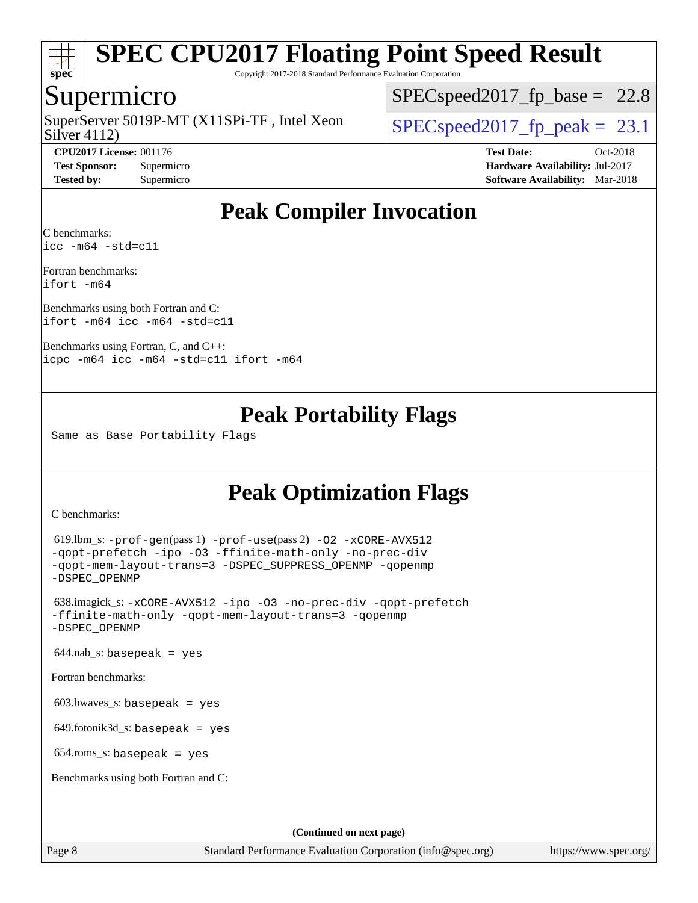

Copyright 2017-2018 Standard Performance Evaluation Corporation

### Supermicro

Silver 4112) SuperServer 5019P-MT  $(X11SPi-TF)$ , Intel Xeon  $\big|$  [SPECspeed2017\\_fp\\_peak =](http://www.spec.org/auto/cpu2017/Docs/result-fields.html#SPECspeed2017fppeak) 23.1

 $SPECspeed2017_fp\_base = 22.8$ 

**[CPU2017 License:](http://www.spec.org/auto/cpu2017/Docs/result-fields.html#CPU2017License)** 001176 **[Test Date:](http://www.spec.org/auto/cpu2017/Docs/result-fields.html#TestDate)** Oct-2018 **[Test Sponsor:](http://www.spec.org/auto/cpu2017/Docs/result-fields.html#TestSponsor)** Supermicro **[Hardware Availability:](http://www.spec.org/auto/cpu2017/Docs/result-fields.html#HardwareAvailability)** Jul-2017 **[Tested by:](http://www.spec.org/auto/cpu2017/Docs/result-fields.html#Testedby)** Supermicro **[Software Availability:](http://www.spec.org/auto/cpu2017/Docs/result-fields.html#SoftwareAvailability)** Mar-2018

# **[Peak Compiler Invocation](http://www.spec.org/auto/cpu2017/Docs/result-fields.html#PeakCompilerInvocation)**

[C benchmarks](http://www.spec.org/auto/cpu2017/Docs/result-fields.html#Cbenchmarks): [icc -m64 -std=c11](http://www.spec.org/cpu2017/results/res2018q4/cpu2017-20181015-09209.flags.html#user_CCpeak_intel_icc_64bit_c11_33ee0cdaae7deeeab2a9725423ba97205ce30f63b9926c2519791662299b76a0318f32ddfffdc46587804de3178b4f9328c46fa7c2b0cd779d7a61945c91cd35)

[Fortran benchmarks:](http://www.spec.org/auto/cpu2017/Docs/result-fields.html#Fortranbenchmarks) [ifort -m64](http://www.spec.org/cpu2017/results/res2018q4/cpu2017-20181015-09209.flags.html#user_FCpeak_intel_ifort_64bit_24f2bb282fbaeffd6157abe4f878425411749daecae9a33200eee2bee2fe76f3b89351d69a8130dd5949958ce389cf37ff59a95e7a40d588e8d3a57e0c3fd751)

[Benchmarks using both Fortran and C](http://www.spec.org/auto/cpu2017/Docs/result-fields.html#BenchmarksusingbothFortranandC): [ifort -m64](http://www.spec.org/cpu2017/results/res2018q4/cpu2017-20181015-09209.flags.html#user_CC_FCpeak_intel_ifort_64bit_24f2bb282fbaeffd6157abe4f878425411749daecae9a33200eee2bee2fe76f3b89351d69a8130dd5949958ce389cf37ff59a95e7a40d588e8d3a57e0c3fd751) [icc -m64 -std=c11](http://www.spec.org/cpu2017/results/res2018q4/cpu2017-20181015-09209.flags.html#user_CC_FCpeak_intel_icc_64bit_c11_33ee0cdaae7deeeab2a9725423ba97205ce30f63b9926c2519791662299b76a0318f32ddfffdc46587804de3178b4f9328c46fa7c2b0cd779d7a61945c91cd35)

[Benchmarks using Fortran, C, and C++](http://www.spec.org/auto/cpu2017/Docs/result-fields.html#BenchmarksusingFortranCandCXX): [icpc -m64](http://www.spec.org/cpu2017/results/res2018q4/cpu2017-20181015-09209.flags.html#user_CC_CXX_FCpeak_intel_icpc_64bit_4ecb2543ae3f1412ef961e0650ca070fec7b7afdcd6ed48761b84423119d1bf6bdf5cad15b44d48e7256388bc77273b966e5eb805aefd121eb22e9299b2ec9d9) [icc -m64 -std=c11](http://www.spec.org/cpu2017/results/res2018q4/cpu2017-20181015-09209.flags.html#user_CC_CXX_FCpeak_intel_icc_64bit_c11_33ee0cdaae7deeeab2a9725423ba97205ce30f63b9926c2519791662299b76a0318f32ddfffdc46587804de3178b4f9328c46fa7c2b0cd779d7a61945c91cd35) [ifort -m64](http://www.spec.org/cpu2017/results/res2018q4/cpu2017-20181015-09209.flags.html#user_CC_CXX_FCpeak_intel_ifort_64bit_24f2bb282fbaeffd6157abe4f878425411749daecae9a33200eee2bee2fe76f3b89351d69a8130dd5949958ce389cf37ff59a95e7a40d588e8d3a57e0c3fd751)

## **[Peak Portability Flags](http://www.spec.org/auto/cpu2017/Docs/result-fields.html#PeakPortabilityFlags)**

Same as Base Portability Flags

# **[Peak Optimization Flags](http://www.spec.org/auto/cpu2017/Docs/result-fields.html#PeakOptimizationFlags)**

[C benchmarks](http://www.spec.org/auto/cpu2017/Docs/result-fields.html#Cbenchmarks):

```
(info@spec.org)https://www.spec.org/
  619.lbm_s: -prof-gen(pass 1) -prof-use(pass 2) -O2 -xCORE-AVX512
-qopt-prefetch -ipo -O3 -ffinite-math-only -no-prec-div
-qopt-mem-layout-trans=3 -DSPEC_SUPPRESS_OPENMP -qopenmp
-DSPEC_OPENMP
  638.imagick_s: -xCORE-AVX512 -ipo -O3 -no-prec-div -qopt-prefetch
-ffinite-math-only -qopt-mem-layout-trans=3 -qopenmp
-DSPEC_OPENMP
 644.nab_s: basepeak = yes
Fortran benchmarks: 
 603.bwaves s: basepeak = yes
  649.fotonik3d_s: basepeak = yes
  654.roms_s: basepeak = yes
Benchmarks using both Fortran and C: 
                                    (Continued on next page)
```